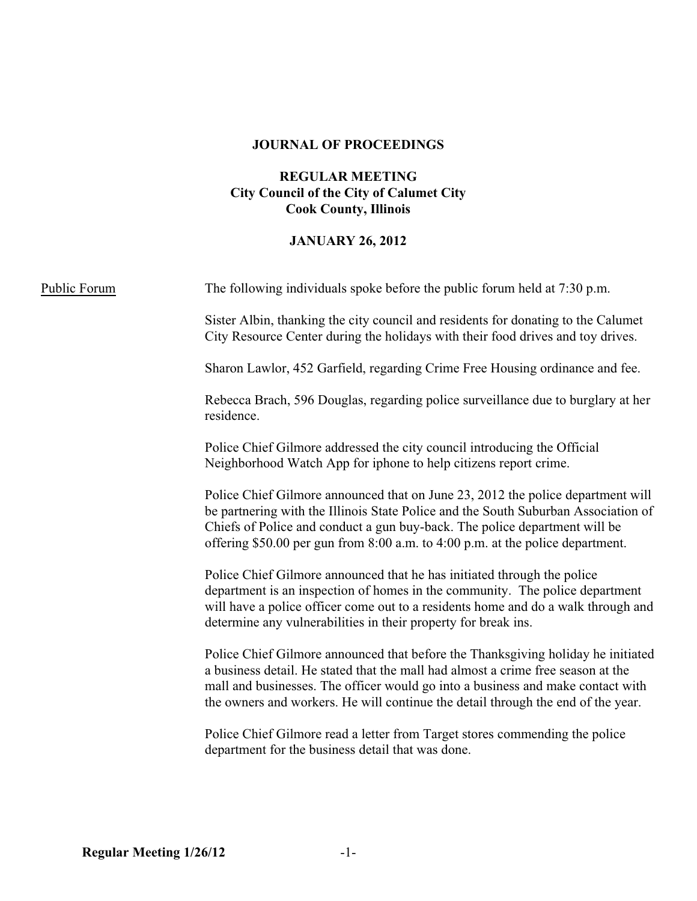### **JOURNAL OF PROCEEDINGS**

### **REGULAR MEETING City Council of the City of Calumet City Cook County, Illinois**

# **JANUARY 26, 2012**

| Public Forum | The following individuals spoke before the public forum held at 7:30 p.m.                                                                                                                                                                                                                                                                   |  |  |
|--------------|---------------------------------------------------------------------------------------------------------------------------------------------------------------------------------------------------------------------------------------------------------------------------------------------------------------------------------------------|--|--|
|              | Sister Albin, thanking the city council and residents for donating to the Calumet<br>City Resource Center during the holidays with their food drives and toy drives.                                                                                                                                                                        |  |  |
|              | Sharon Lawlor, 452 Garfield, regarding Crime Free Housing ordinance and fee.                                                                                                                                                                                                                                                                |  |  |
|              | Rebecca Brach, 596 Douglas, regarding police surveillance due to burglary at her<br>residence.                                                                                                                                                                                                                                              |  |  |
|              | Police Chief Gilmore addressed the city council introducing the Official<br>Neighborhood Watch App for iphone to help citizens report crime.                                                                                                                                                                                                |  |  |
|              | Police Chief Gilmore announced that on June 23, 2012 the police department will<br>be partnering with the Illinois State Police and the South Suburban Association of<br>Chiefs of Police and conduct a gun buy-back. The police department will be<br>offering \$50.00 per gun from 8:00 a.m. to 4:00 p.m. at the police department.       |  |  |
|              | Police Chief Gilmore announced that he has initiated through the police<br>department is an inspection of homes in the community. The police department<br>will have a police officer come out to a residents home and do a walk through and<br>determine any vulnerabilities in their property for break ins.                              |  |  |
|              | Police Chief Gilmore announced that before the Thanksgiving holiday he initiated<br>a business detail. He stated that the mall had almost a crime free season at the<br>mall and businesses. The officer would go into a business and make contact with<br>the owners and workers. He will continue the detail through the end of the year. |  |  |
|              | Police Chief Gilmore read a letter from Target stores commending the police<br>department for the business detail that was done.                                                                                                                                                                                                            |  |  |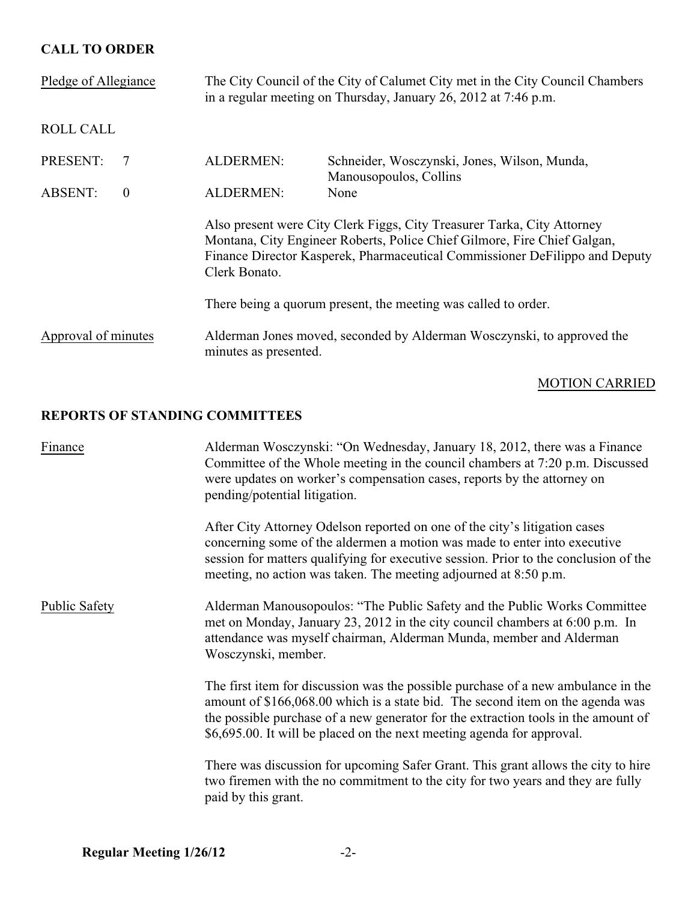## **CALL TO ORDER**

| Pledge of Allegiance                                                                                                   | The City Council of the City of Calumet City met in the City Council Chambers<br>in a regular meeting on Thursday, January 26, 2012 at 7:46 p.m.                                                                                                    |                                                                        |
|------------------------------------------------------------------------------------------------------------------------|-----------------------------------------------------------------------------------------------------------------------------------------------------------------------------------------------------------------------------------------------------|------------------------------------------------------------------------|
| <b>ROLL CALL</b>                                                                                                       |                                                                                                                                                                                                                                                     |                                                                        |
| PRESENT:<br>7                                                                                                          | <b>ALDERMEN:</b>                                                                                                                                                                                                                                    | Schneider, Wosczynski, Jones, Wilson, Munda,<br>Manousopoulos, Collins |
| <b>ABSENT:</b><br>$\overline{0}$                                                                                       | <b>ALDERMEN:</b>                                                                                                                                                                                                                                    | None                                                                   |
|                                                                                                                        | Also present were City Clerk Figgs, City Treasurer Tarka, City Attorney<br>Montana, City Engineer Roberts, Police Chief Gilmore, Fire Chief Galgan,<br>Finance Director Kasperek, Pharmaceutical Commissioner DeFilippo and Deputy<br>Clerk Bonato. |                                                                        |
|                                                                                                                        | There being a quorum present, the meeting was called to order.                                                                                                                                                                                      |                                                                        |
| Approval of minutes<br>Alderman Jones moved, seconded by Alderman Wosczynski, to approved the<br>minutes as presented. |                                                                                                                                                                                                                                                     |                                                                        |

### MOTION CARRIED

## **REPORTS OF STANDING COMMITTEES**

| Finance              | Alderman Wosczynski: "On Wednesday, January 18, 2012, there was a Finance<br>Committee of the Whole meeting in the council chambers at 7:20 p.m. Discussed<br>were updates on worker's compensation cases, reports by the attorney on<br>pending/potential litigation.                                                              |  |  |
|----------------------|-------------------------------------------------------------------------------------------------------------------------------------------------------------------------------------------------------------------------------------------------------------------------------------------------------------------------------------|--|--|
|                      | After City Attorney Odelson reported on one of the city's litigation cases<br>concerning some of the aldermen a motion was made to enter into executive<br>session for matters qualifying for executive session. Prior to the conclusion of the<br>meeting, no action was taken. The meeting adjourned at 8:50 p.m.                 |  |  |
| <b>Public Safety</b> | Alderman Manousopoulos: "The Public Safety and the Public Works Committee"<br>met on Monday, January 23, 2012 in the city council chambers at 6:00 p.m. In<br>attendance was myself chairman, Alderman Munda, member and Alderman<br>Wosczynski, member.                                                                            |  |  |
|                      | The first item for discussion was the possible purchase of a new ambulance in the<br>amount of \$166,068.00 which is a state bid. The second item on the agenda was<br>the possible purchase of a new generator for the extraction tools in the amount of<br>\$6,695.00. It will be placed on the next meeting agenda for approval. |  |  |
|                      | There was discussion for upcoming Safer Grant. This grant allows the city to hire<br>two firemen with the no commitment to the city for two years and they are fully<br>paid by this grant.                                                                                                                                         |  |  |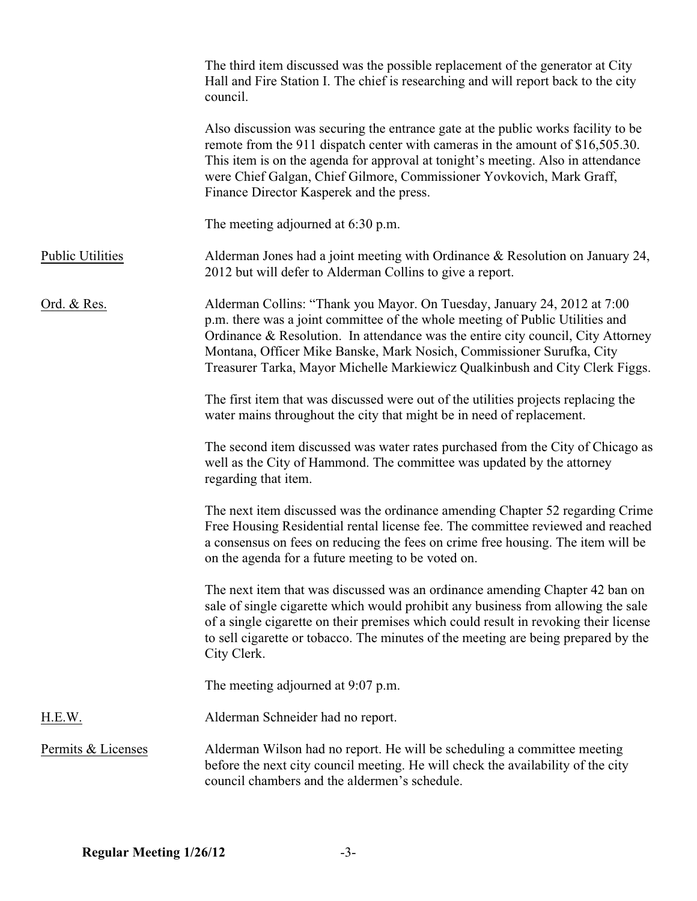|                         | The third item discussed was the possible replacement of the generator at City<br>Hall and Fire Station I. The chief is researching and will report back to the city<br>council.                                                                                                                                                                                                                       |
|-------------------------|--------------------------------------------------------------------------------------------------------------------------------------------------------------------------------------------------------------------------------------------------------------------------------------------------------------------------------------------------------------------------------------------------------|
|                         | Also discussion was securing the entrance gate at the public works facility to be<br>remote from the 911 dispatch center with cameras in the amount of \$16,505.30.<br>This item is on the agenda for approval at tonight's meeting. Also in attendance<br>were Chief Galgan, Chief Gilmore, Commissioner Yovkovich, Mark Graff,<br>Finance Director Kasperek and the press.                           |
|                         | The meeting adjourned at 6:30 p.m.                                                                                                                                                                                                                                                                                                                                                                     |
| <b>Public Utilities</b> | Alderman Jones had a joint meeting with Ordinance $&$ Resolution on January 24,<br>2012 but will defer to Alderman Collins to give a report.                                                                                                                                                                                                                                                           |
| <u>Ord. &amp; Res.</u>  | Alderman Collins: "Thank you Mayor. On Tuesday, January 24, 2012 at 7:00<br>p.m. there was a joint committee of the whole meeting of Public Utilities and<br>Ordinance & Resolution. In attendance was the entire city council, City Attorney<br>Montana, Officer Mike Banske, Mark Nosich, Commissioner Surufka, City<br>Treasurer Tarka, Mayor Michelle Markiewicz Qualkinbush and City Clerk Figgs. |
|                         | The first item that was discussed were out of the utilities projects replacing the<br>water mains throughout the city that might be in need of replacement.                                                                                                                                                                                                                                            |
|                         | The second item discussed was water rates purchased from the City of Chicago as<br>well as the City of Hammond. The committee was updated by the attorney<br>regarding that item.                                                                                                                                                                                                                      |
|                         | The next item discussed was the ordinance amending Chapter 52 regarding Crime<br>Free Housing Residential rental license fee. The committee reviewed and reached<br>a consensus on fees on reducing the fees on crime free housing. The item will be<br>on the agenda for a future meeting to be voted on.                                                                                             |
|                         | The next item that was discussed was an ordinance amending Chapter 42 ban on<br>sale of single cigarette which would prohibit any business from allowing the sale<br>of a single cigarette on their premises which could result in revoking their license<br>to sell cigarette or tobacco. The minutes of the meeting are being prepared by the<br>City Clerk.                                         |
|                         | The meeting adjourned at 9:07 p.m.                                                                                                                                                                                                                                                                                                                                                                     |
| H.E.W.                  | Alderman Schneider had no report.                                                                                                                                                                                                                                                                                                                                                                      |
| Permits & Licenses      | Alderman Wilson had no report. He will be scheduling a committee meeting<br>before the next city council meeting. He will check the availability of the city<br>council chambers and the aldermen's schedule.                                                                                                                                                                                          |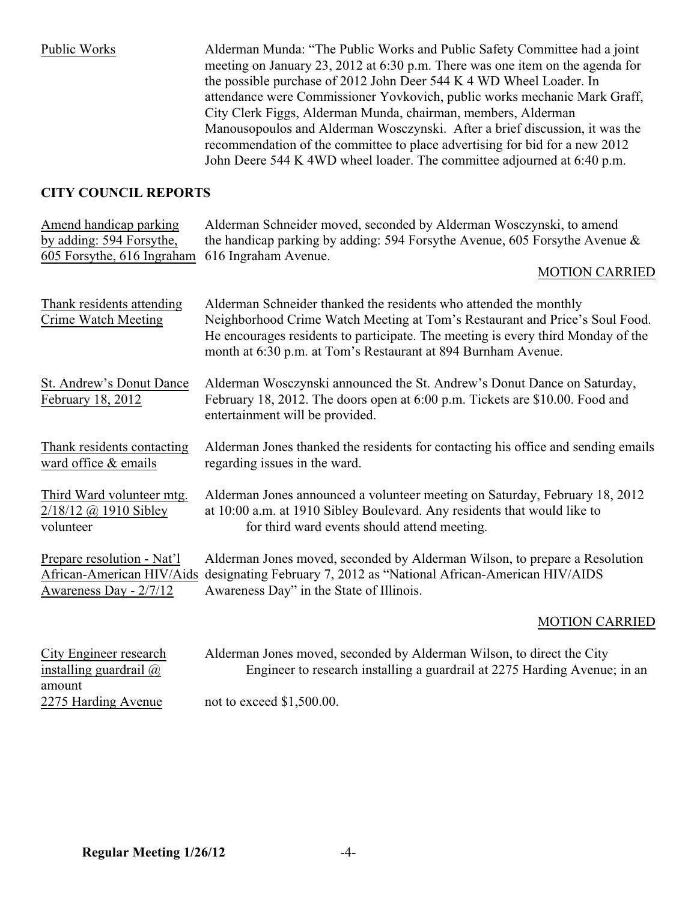Public Works Alderman Munda: "The Public Works and Public Safety Committee had a joint meeting on January 23, 2012 at 6:30 p.m. There was one item on the agenda for the possible purchase of 2012 John Deer 544 K 4 WD Wheel Loader. In attendance were Commissioner Yovkovich, public works mechanic Mark Graff, City Clerk Figgs, Alderman Munda, chairman, members, Alderman Manousopoulos and Alderman Wosczynski. After a brief discussion, it was the recommendation of the committee to place advertising for bid for a new 2012 John Deere 544 K 4WD wheel loader. The committee adjourned at 6:40 p.m.

### **CITY COUNCIL REPORTS**

| Amend handicap parking                                  | Alderman Schneider moved, seconded by Alderman Wosczynski, to amend                                                                                                                                                                                                                                   |
|---------------------------------------------------------|-------------------------------------------------------------------------------------------------------------------------------------------------------------------------------------------------------------------------------------------------------------------------------------------------------|
| by adding: 594 Forsythe,                                | the handicap parking by adding: 594 Forsythe Avenue, 605 Forsythe Avenue $\&$                                                                                                                                                                                                                         |
| 605 Forsythe, 616 Ingraham                              | 616 Ingraham Avenue.                                                                                                                                                                                                                                                                                  |
|                                                         | <b>MOTION CARRIED</b>                                                                                                                                                                                                                                                                                 |
| Thank residents attending<br><b>Crime Watch Meeting</b> | Alderman Schneider thanked the residents who attended the monthly<br>Neighborhood Crime Watch Meeting at Tom's Restaurant and Price's Soul Food.<br>He encourages residents to participate. The meeting is every third Monday of the<br>month at 6:30 p.m. at Tom's Restaurant at 894 Burnham Avenue. |
| St. Andrew's Donut Dance<br>February 18, 2012           | Alderman Wosczynski announced the St. Andrew's Donut Dance on Saturday,<br>February 18, 2012. The doors open at 6:00 p.m. Tickets are \$10.00. Food and<br>entertainment will be provided.                                                                                                            |
| Thank residents contacting                              | Alderman Jones thanked the residents for contacting his office and sending emails                                                                                                                                                                                                                     |
| ward office & emails                                    | regarding issues in the ward.                                                                                                                                                                                                                                                                         |
| Third Ward volunteer mtg.                               | Alderman Jones announced a volunteer meeting on Saturday, February 18, 2012                                                                                                                                                                                                                           |
| $2/18/12$ @ 1910 Sibley                                 | at 10:00 a.m. at 1910 Sibley Boulevard. Any residents that would like to                                                                                                                                                                                                                              |
| volunteer                                               | for third ward events should attend meeting.                                                                                                                                                                                                                                                          |
| Prepare resolution - Nat'l                              | Alderman Jones moved, seconded by Alderman Wilson, to prepare a Resolution                                                                                                                                                                                                                            |
| African-American HIV/Aids                               | designating February 7, 2012 as "National African-American HIV/AIDS                                                                                                                                                                                                                                   |
| Awareness Day - 2/7/12                                  | Awareness Day" in the State of Illinois.                                                                                                                                                                                                                                                              |
|                                                         | <b>MOTION CARRIED</b>                                                                                                                                                                                                                                                                                 |
| City Engineer research                                  | Alderman Jones moved, seconded by Alderman Wilson, to direct the City                                                                                                                                                                                                                                 |
| installing guardrail $\omega$                           | Engineer to research installing a guardrail at 2275 Harding Avenue; in an                                                                                                                                                                                                                             |

amount

2275 Harding Avenue not to exceed \$1,500.00.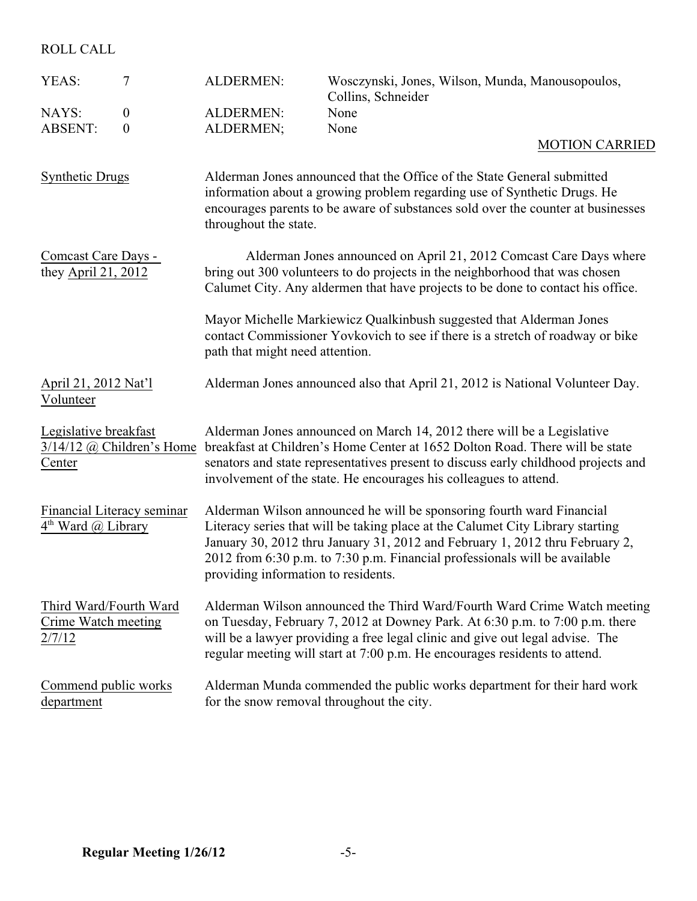ROLL CALL

| 7<br>YEAS:                                                                      |  | <b>ALDERMEN:</b>                                                                                                                                                                                                                                                                                                                                             | Wosczynski, Jones, Wilson, Munda, Manousopoulos,<br>Collins, Schneider                                                                                                                                                                                                                                                  |  |
|---------------------------------------------------------------------------------|--|--------------------------------------------------------------------------------------------------------------------------------------------------------------------------------------------------------------------------------------------------------------------------------------------------------------------------------------------------------------|-------------------------------------------------------------------------------------------------------------------------------------------------------------------------------------------------------------------------------------------------------------------------------------------------------------------------|--|
| NAYS:<br>$\mathbf{0}$                                                           |  | <b>ALDERMEN:</b>                                                                                                                                                                                                                                                                                                                                             | None                                                                                                                                                                                                                                                                                                                    |  |
| <b>ABSENT:</b><br>$\boldsymbol{0}$                                              |  | ALDERMEN;                                                                                                                                                                                                                                                                                                                                                    | None                                                                                                                                                                                                                                                                                                                    |  |
|                                                                                 |  |                                                                                                                                                                                                                                                                                                                                                              | <b>MOTION CARRIED</b>                                                                                                                                                                                                                                                                                                   |  |
| <b>Synthetic Drugs</b>                                                          |  | throughout the state.                                                                                                                                                                                                                                                                                                                                        | Alderman Jones announced that the Office of the State General submitted<br>information about a growing problem regarding use of Synthetic Drugs. He<br>encourages parents to be aware of substances sold over the counter at businesses                                                                                 |  |
| Comcast Care Days -<br>they April 21, 2012                                      |  | Alderman Jones announced on April 21, 2012 Comcast Care Days where<br>bring out 300 volunteers to do projects in the neighborhood that was chosen<br>Calumet City. Any aldermen that have projects to be done to contact his office.                                                                                                                         |                                                                                                                                                                                                                                                                                                                         |  |
|                                                                                 |  | Mayor Michelle Markiewicz Qualkinbush suggested that Alderman Jones<br>contact Commissioner Yovkovich to see if there is a stretch of roadway or bike<br>path that might need attention.                                                                                                                                                                     |                                                                                                                                                                                                                                                                                                                         |  |
| April 21, 2012 Nat'l<br>Volunteer                                               |  |                                                                                                                                                                                                                                                                                                                                                              | Alderman Jones announced also that April 21, 2012 is National Volunteer Day.                                                                                                                                                                                                                                            |  |
| Legislative breakfast<br>$3/14/12$ @ Children's Home<br>Center                  |  |                                                                                                                                                                                                                                                                                                                                                              | Alderman Jones announced on March 14, 2012 there will be a Legislative<br>breakfast at Children's Home Center at 1652 Dolton Road. There will be state<br>senators and state representatives present to discuss early childhood projects and<br>involvement of the state. He encourages his colleagues to attend.       |  |
| Financial Literacy seminar<br>$4th$ Ward $\omega$ Library                       |  | Alderman Wilson announced he will be sponsoring fourth ward Financial<br>Literacy series that will be taking place at the Calumet City Library starting<br>January 30, 2012 thru January 31, 2012 and February 1, 2012 thru February 2,<br>2012 from 6:30 p.m. to 7:30 p.m. Financial professionals will be available<br>providing information to residents. |                                                                                                                                                                                                                                                                                                                         |  |
| Third Ward/Fourth Ward<br>Crime Watch meeting<br>2/7/12                         |  |                                                                                                                                                                                                                                                                                                                                                              | Alderman Wilson announced the Third Ward/Fourth Ward Crime Watch meeting<br>on Tuesday, February 7, 2012 at Downey Park. At 6:30 p.m. to 7:00 p.m. there<br>will be a lawyer providing a free legal clinic and give out legal advise. The<br>regular meeting will start at 7:00 p.m. He encourages residents to attend. |  |
| Commend public works<br>for the snow removal throughout the city.<br>department |  |                                                                                                                                                                                                                                                                                                                                                              | Alderman Munda commended the public works department for their hard work                                                                                                                                                                                                                                                |  |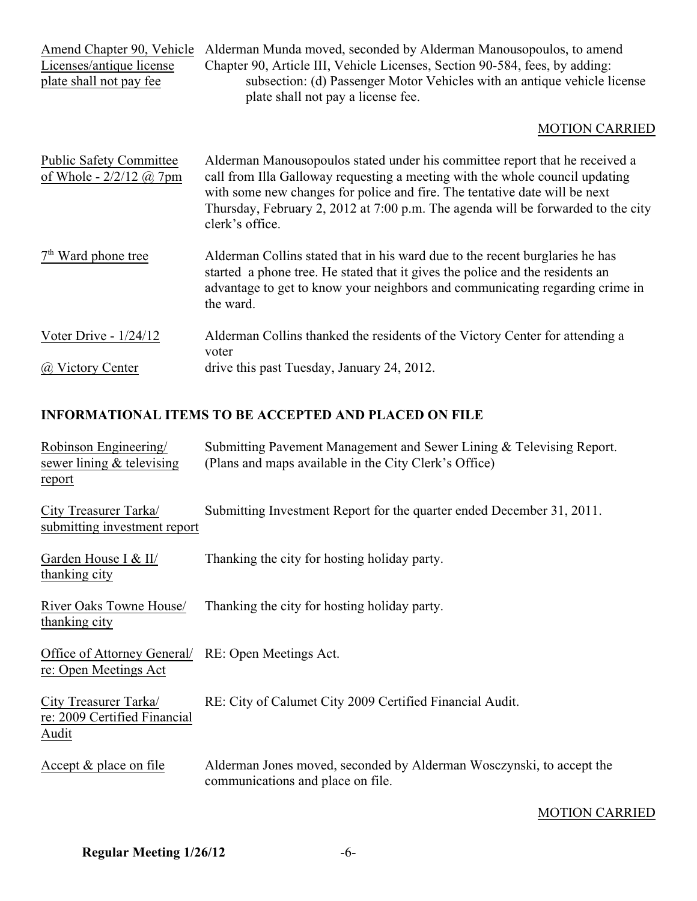| Amend Chapter 90, Vehicle<br>Licenses/antique license<br>plate shall not pay fee | Alderman Munda moved, seconded by Alderman Manousopoulos, to amend<br>Chapter 90, Article III, Vehicle Licenses, Section 90-584, fees, by adding:<br>subsection: (d) Passenger Motor Vehicles with an antique vehicle license<br>plate shall not pay a license fee.                                                                              |  |
|----------------------------------------------------------------------------------|--------------------------------------------------------------------------------------------------------------------------------------------------------------------------------------------------------------------------------------------------------------------------------------------------------------------------------------------------|--|
|                                                                                  | <b>MOTION CARRIED</b>                                                                                                                                                                                                                                                                                                                            |  |
| <b>Public Safety Committee</b><br>of Whole - $2/2/12$ ( <i>a</i> ) 7pm           | Alderman Manousopoulos stated under his committee report that he received a<br>call from Illa Galloway requesting a meeting with the whole council updating<br>with some new changes for police and fire. The tentative date will be next<br>Thursday, February 2, 2012 at 7:00 p.m. The agenda will be forwarded to the city<br>clerk's office. |  |
| $7th$ Ward phone tree                                                            | Alderman Collins stated that in his ward due to the recent burglaries he has<br>started a phone tree. He stated that it gives the police and the residents an<br>advantage to get to know your neighbors and communicating regarding crime in<br>the ward.                                                                                       |  |
| Voter Drive - $1/24/12$<br>@ Victory Center                                      | Alderman Collins thanked the residents of the Victory Center for attending a<br>voter<br>drive this past Tuesday, January 24, 2012.                                                                                                                                                                                                              |  |
|                                                                                  |                                                                                                                                                                                                                                                                                                                                                  |  |

# **INFORMATIONAL ITEMS TO BE ACCEPTED AND PLACED ON FILE**

| Robinson Engineering/<br>sewer lining & televising<br>report                | Submitting Pavement Management and Sewer Lining & Televising Report.<br>(Plans and maps available in the City Clerk's Office) |
|-----------------------------------------------------------------------------|-------------------------------------------------------------------------------------------------------------------------------|
| City Treasurer Tarka/<br>submitting investment report                       | Submitting Investment Report for the quarter ended December 31, 2011.                                                         |
| Garden House I & II/<br>thanking city                                       | Thanking the city for hosting holiday party.                                                                                  |
| River Oaks Towne House/<br>thanking city                                    | Thanking the city for hosting holiday party.                                                                                  |
| Office of Attorney General/ RE: Open Meetings Act.<br>re: Open Meetings Act |                                                                                                                               |
| City Treasurer Tarka/<br>re: 2009 Certified Financial<br>Audit              | RE: City of Calumet City 2009 Certified Financial Audit.                                                                      |
| Accept $&$ place on file                                                    | Alderman Jones moved, seconded by Alderman Wosczynski, to accept the<br>communications and place on file.                     |

### MOTION CARRIED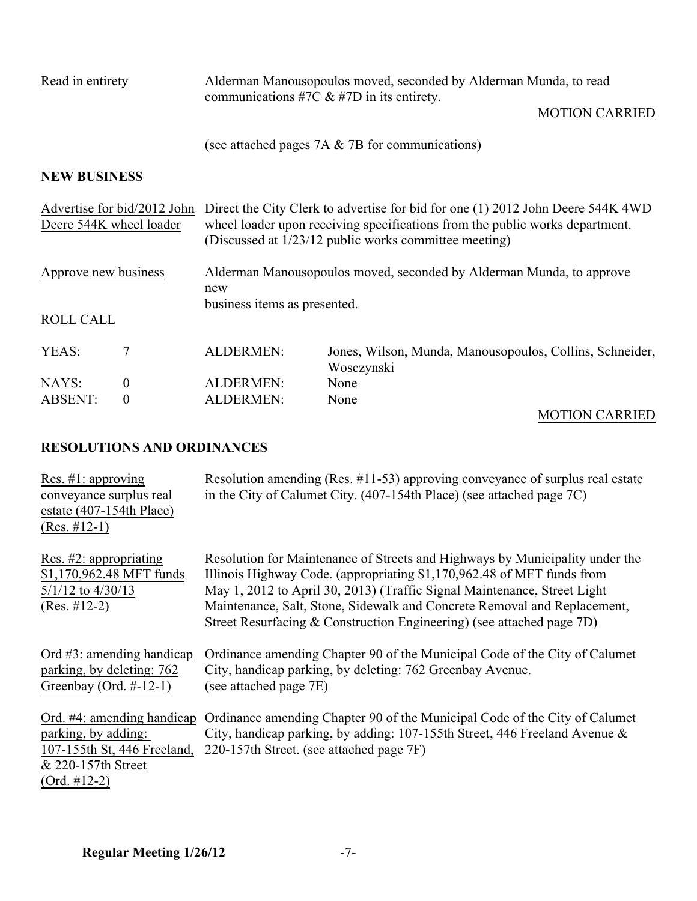| Read in entirety                                       |                  | communications #7C $&$ #7D in its entirety.                                                                                                                                                                              | Alderman Manousopoulos moved, seconded by Alderman Munda, to read<br><b>MOTION CARRIED</b> |  |
|--------------------------------------------------------|------------------|--------------------------------------------------------------------------------------------------------------------------------------------------------------------------------------------------------------------------|--------------------------------------------------------------------------------------------|--|
|                                                        |                  |                                                                                                                                                                                                                          | (see attached pages $7A \& 7B$ for communications)                                         |  |
| <b>NEW BUSINESS</b>                                    |                  |                                                                                                                                                                                                                          |                                                                                            |  |
| Advertise for bid/2012 John<br>Deere 544K wheel loader |                  | Direct the City Clerk to advertise for bid for one (1) 2012 John Deere 544K 4WD<br>wheel loader upon receiving specifications from the public works department.<br>(Discussed at 1/23/12 public works committee meeting) |                                                                                            |  |
| Approve new business                                   |                  | Alderman Manousopoulos moved, seconded by Alderman Munda, to approve<br>new<br>business items as presented.                                                                                                              |                                                                                            |  |
| <b>ROLL CALL</b>                                       |                  |                                                                                                                                                                                                                          |                                                                                            |  |
| YEAS:                                                  | 7                | <b>ALDERMEN:</b>                                                                                                                                                                                                         | Jones, Wilson, Munda, Manousopoulos, Collins, Schneider,<br>Wosczynski                     |  |
| NAYS:                                                  | $\boldsymbol{0}$ | <b>ALDERMEN:</b>                                                                                                                                                                                                         | None                                                                                       |  |
| <b>ABSENT:</b>                                         | $\overline{0}$   | <b>ALDERMEN:</b>                                                                                                                                                                                                         | None                                                                                       |  |

# MOTION CARRIED

## **RESOLUTIONS AND ORDINANCES**

| Res. $\#1$ : approving<br>conveyance surplus real<br>estate $(407-154th$ Place)<br>$(Res. #12-1)$                        | Resolution amending (Res. $\#11-53$ ) approving conveyance of surplus real estate<br>in the City of Calumet City. (407-154th Place) (see attached page 7C)                                                                                                                                                                                                                              |
|--------------------------------------------------------------------------------------------------------------------------|-----------------------------------------------------------------------------------------------------------------------------------------------------------------------------------------------------------------------------------------------------------------------------------------------------------------------------------------------------------------------------------------|
| Res. $#2$ : appropriating<br>\$1,170,962.48 MFT funds<br>$5/1/12$ to $4/30/13$<br>$(Res. #12-2)$                         | Resolution for Maintenance of Streets and Highways by Municipality under the<br>Illinois Highway Code. (appropriating \$1,170,962.48 of MFT funds from<br>May 1, 2012 to April 30, 2013) (Traffic Signal Maintenance, Street Light<br>Maintenance, Salt, Stone, Sidewalk and Concrete Removal and Replacement,<br>Street Resurfacing & Construction Engineering) (see attached page 7D) |
| Ord $#3$ : amending handicap<br>parking, by deleting: 762<br>Greenbay (Ord. $\#$ -12-1)                                  | Ordinance amending Chapter 90 of the Municipal Code of the City of Calumet<br>City, handicap parking, by deleting: 762 Greenbay Avenue.<br>(see attached page 7E)                                                                                                                                                                                                                       |
| Ord. #4: amending handicap<br>parking, by adding:<br>107-155th St, 446 Freeland,<br>& 220-157th Street<br>$(Ord. #12-2)$ | Ordinance amending Chapter 90 of the Municipal Code of the City of Calumet<br>City, handicap parking, by adding: 107-155th Street, 446 Freeland Avenue &<br>220-157th Street. (see attached page 7F)                                                                                                                                                                                    |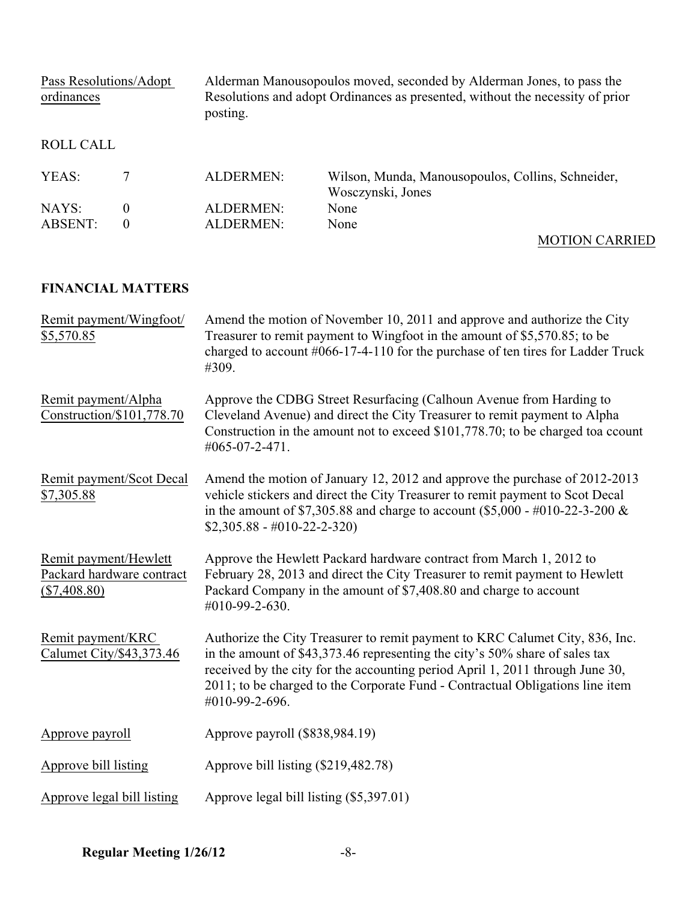Pass Resolutions/Adopt Alderman Manousopoulos moved, seconded by Alderman Jones, to pass the ordinances Resolutions and adopt Ordinances as presented, without the necessity of prior Resolutions and adopt Ordinances as presented, without the necessity of prior posting. ROLL CALL YEAS: 7 ALDERMEN: Wilson, Munda, Manousopoulos, Collins, Schneider, Wosczynski, Jones NAYS: 0 ALDERMEN: ABSENT: 0 ALDERMEN: None MOTION CARRIED

### **FINANCIAL MATTERS**

| Remit payment/Wingfoot/<br>\$5,570.85                                | Amend the motion of November 10, 2011 and approve and authorize the City<br>Treasurer to remit payment to Wingfoot in the amount of \$5,570.85; to be<br>charged to account $\#066-17-4-110$ for the purchase of ten tires for Ladder Truck<br>#309.                                                                                            |  |  |
|----------------------------------------------------------------------|-------------------------------------------------------------------------------------------------------------------------------------------------------------------------------------------------------------------------------------------------------------------------------------------------------------------------------------------------|--|--|
| Remit payment/Alpha<br>Construction/\$101,778.70                     | Approve the CDBG Street Resurfacing (Calhoun Avenue from Harding to<br>Cleveland Avenue) and direct the City Treasurer to remit payment to Alpha<br>Construction in the amount not to exceed \$101,778.70; to be charged toa ccount<br>#065-07-2-471.                                                                                           |  |  |
| Remit payment/Scot Decal<br>\$7,305.88                               | Amend the motion of January 12, 2012 and approve the purchase of 2012-2013<br>vehicle stickers and direct the City Treasurer to remit payment to Scot Decal<br>in the amount of \$7,305.88 and charge to account (\$5,000 - #010-22-3-200 $\&$<br>$$2,305.88 - #010-22-2-320)$                                                                  |  |  |
| Remit payment/Hewlett<br>Packard hardware contract<br>$(\$7,408.80)$ | Approve the Hewlett Packard hardware contract from March 1, 2012 to<br>February 28, 2013 and direct the City Treasurer to remit payment to Hewlett<br>Packard Company in the amount of \$7,408.80 and charge to account<br>#010-99-2-630.                                                                                                       |  |  |
| Remit payment/KRC<br>Calumet City/\$43,373.46                        | Authorize the City Treasurer to remit payment to KRC Calumet City, 836, Inc.<br>in the amount of \$43,373.46 representing the city's 50% share of sales tax<br>received by the city for the accounting period April 1, 2011 through June 30,<br>2011; to be charged to the Corporate Fund - Contractual Obligations line item<br>#010-99-2-696. |  |  |
| Approve payroll                                                      | Approve payroll (\$838,984.19)                                                                                                                                                                                                                                                                                                                  |  |  |
| Approve bill listing                                                 | Approve bill listing (\$219,482.78)                                                                                                                                                                                                                                                                                                             |  |  |
| Approve legal bill listing                                           | Approve legal bill listing (\$5,397.01)                                                                                                                                                                                                                                                                                                         |  |  |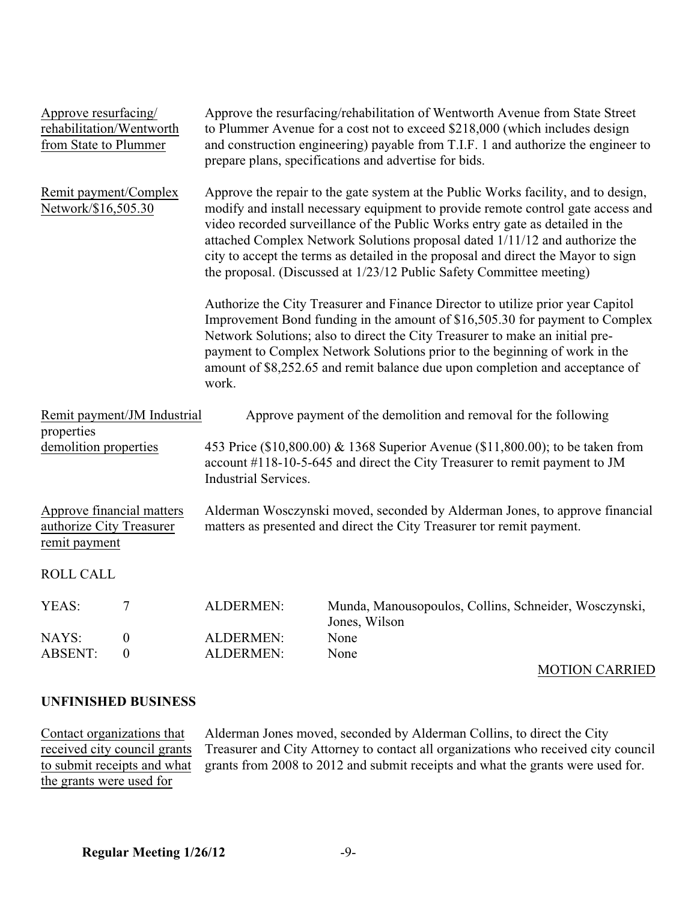| Approve resurfacing/<br>from State to Plummer                          | rehabilitation/Wentworth             | Approve the resurfacing/rehabilitation of Wentworth Avenue from State Street<br>to Plummer Avenue for a cost not to exceed \$218,000 (which includes design<br>and construction engineering) payable from T.I.F. 1 and authorize the engineer to<br>prepare plans, specifications and advertise for bids.                                                                                                                                                                                           |                                                                        |  |
|------------------------------------------------------------------------|--------------------------------------|-----------------------------------------------------------------------------------------------------------------------------------------------------------------------------------------------------------------------------------------------------------------------------------------------------------------------------------------------------------------------------------------------------------------------------------------------------------------------------------------------------|------------------------------------------------------------------------|--|
| Remit payment/Complex<br>Network/\$16,505.30                           |                                      | Approve the repair to the gate system at the Public Works facility, and to design,<br>modify and install necessary equipment to provide remote control gate access and<br>video recorded surveillance of the Public Works entry gate as detailed in the<br>attached Complex Network Solutions proposal dated 1/11/12 and authorize the<br>city to accept the terms as detailed in the proposal and direct the Mayor to sign<br>the proposal. (Discussed at 1/23/12 Public Safety Committee meeting) |                                                                        |  |
|                                                                        |                                      | Authorize the City Treasurer and Finance Director to utilize prior year Capitol<br>Improvement Bond funding in the amount of \$16,505.30 for payment to Complex<br>Network Solutions; also to direct the City Treasurer to make an initial pre-<br>payment to Complex Network Solutions prior to the beginning of work in the<br>amount of \$8,252.65 and remit balance due upon completion and acceptance of<br>work.                                                                              |                                                                        |  |
| properties                                                             | Remit payment/JM Industrial          |                                                                                                                                                                                                                                                                                                                                                                                                                                                                                                     | Approve payment of the demolition and removal for the following        |  |
| demolition properties                                                  |                                      | 453 Price (\$10,800.00) & 1368 Superior Avenue (\$11,800.00); to be taken from<br>account #118-10-5-645 and direct the City Treasurer to remit payment to JM<br><b>Industrial Services.</b>                                                                                                                                                                                                                                                                                                         |                                                                        |  |
| Approve financial matters<br>authorize City Treasurer<br>remit payment |                                      | Alderman Wosczynski moved, seconded by Alderman Jones, to approve financial<br>matters as presented and direct the City Treasurer tor remit payment.                                                                                                                                                                                                                                                                                                                                                |                                                                        |  |
| <b>ROLL CALL</b>                                                       |                                      |                                                                                                                                                                                                                                                                                                                                                                                                                                                                                                     |                                                                        |  |
| YEAS:                                                                  | 7                                    | <b>ALDERMEN:</b>                                                                                                                                                                                                                                                                                                                                                                                                                                                                                    | Munda, Manousopoulos, Collins, Schneider, Wosczynski,<br>Jones, Wilson |  |
| NAYS:<br><b>ABSENT:</b>                                                | $\boldsymbol{0}$<br>$\boldsymbol{0}$ | <b>ALDERMEN:</b><br>ALDERMEN:                                                                                                                                                                                                                                                                                                                                                                                                                                                                       | None<br>None                                                           |  |
|                                                                        |                                      |                                                                                                                                                                                                                                                                                                                                                                                                                                                                                                     |                                                                        |  |

#### MOTION CARRIED

### **UNFINISHED BUSINESS**

Contact organizations that Alderman Jones moved, seconded by Alderman Collins, to direct the City received city Treasurer and City Attorney to contact all organizations who received city received city council grants Treasurer and City Attorney to contact all organizations who received city council<br>to submit receipts and what grants from 2008 to 2012 and submit receipts and what the grants were used for. grants from 2008 to 2012 and submit receipts and what the grants were used for. the grants were used for